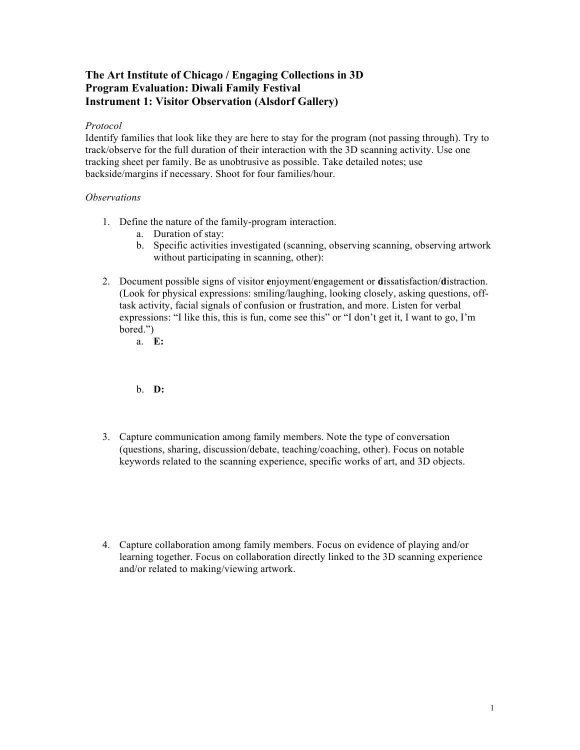## **The Art Institute of Chicago / Engaging Collections in 3D Program Evaluation: Diwali Family Festival Instrument 1: Visitor Observation (Alsdorf Gallery)**

## *Protocol*

Identify families that look like they are here to stay for the program (not passing through). Try to track/observe for the full duration of their interaction with the 3D scanning activity. Use one tracking sheet per family. Be as unobtrusive as possible. Take detailed notes; use backside/margins if necessary. Shoot for four families/hour.

## *Observations*

- 1. Define the nature of the family-program interaction.
	- a. Duration of stay:
	- b. Specific activities investigated (scanning, observing scanning, observing artwork without participating in scanning, other):
- 2. Document possible signs of visitor **e**njoyment/**e**ngagement or **d**issatisfaction/**d**istraction. (Look for physical expressions: smiling/laughing, looking closely, asking questions, offtask activity, facial signals of confusion or frustration, and more. Listen for verbal expressions: "I like this, this is fun, come see this" or "I don't get it, I want to go, I'm bored.")
	- a. **E:**

b. **D:**

- 3. Capture communication among family members. Note the type of conversation (questions, sharing, discussion/debate, teaching/coaching, other). Focus on notable keywords related to the scanning experience, specific works of art, and 3D objects.
- 4. Capture collaboration among family members. Focus on evidence of playing and/or learning together. Focus on collaboration directly linked to the 3D scanning experience and/or related to making/viewing artwork.